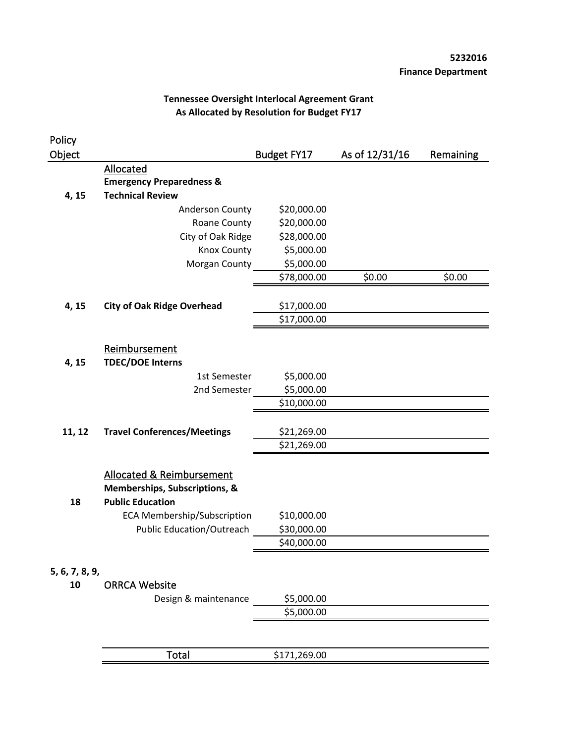| Policy         |                                      |                    |                |           |
|----------------|--------------------------------------|--------------------|----------------|-----------|
| Object         |                                      | <b>Budget FY17</b> | As of 12/31/16 | Remaining |
|                | Allocated                            |                    |                |           |
|                | <b>Emergency Preparedness &amp;</b>  |                    |                |           |
| 4, 15          | <b>Technical Review</b>              |                    |                |           |
|                | Anderson County                      | \$20,000.00        |                |           |
|                | Roane County                         | \$20,000.00        |                |           |
|                | City of Oak Ridge                    | \$28,000.00        |                |           |
|                | Knox County                          | \$5,000.00         |                |           |
|                | Morgan County                        | \$5,000.00         |                |           |
|                |                                      | \$78,000.00        | \$0.00         | \$0.00    |
| 4, 15          | <b>City of Oak Ridge Overhead</b>    | \$17,000.00        |                |           |
|                |                                      | \$17,000.00        |                |           |
|                |                                      |                    |                |           |
|                | Reimbursement                        |                    |                |           |
| 4, 15          | <b>TDEC/DOE Interns</b>              |                    |                |           |
|                | 1st Semester                         | \$5,000.00         |                |           |
|                | 2nd Semester                         | \$5,000.00         |                |           |
|                |                                      | \$10,000.00        |                |           |
| 11, 12         | <b>Travel Conferences/Meetings</b>   | \$21,269.00        |                |           |
|                |                                      | \$21,269.00        |                |           |
|                |                                      |                    |                |           |
|                | <b>Allocated &amp; Reimbursement</b> |                    |                |           |
|                | Memberships, Subscriptions, &        |                    |                |           |
| 18             | <b>Public Education</b>              |                    |                |           |
|                | <b>ECA Membership/Subscription</b>   | \$10,000.00        |                |           |
|                | <b>Public Education/Outreach</b>     | \$30,000.00        |                |           |
|                |                                      | \$40,000.00        |                |           |
| 5, 6, 7, 8, 9, |                                      |                    |                |           |
| 10             | <b>ORRCA Website</b>                 |                    |                |           |
|                | Design & maintenance                 | \$5,000.00         |                |           |
|                |                                      | \$5,000.00         |                |           |
|                |                                      |                    |                |           |
|                | Total                                | \$171,269.00       |                |           |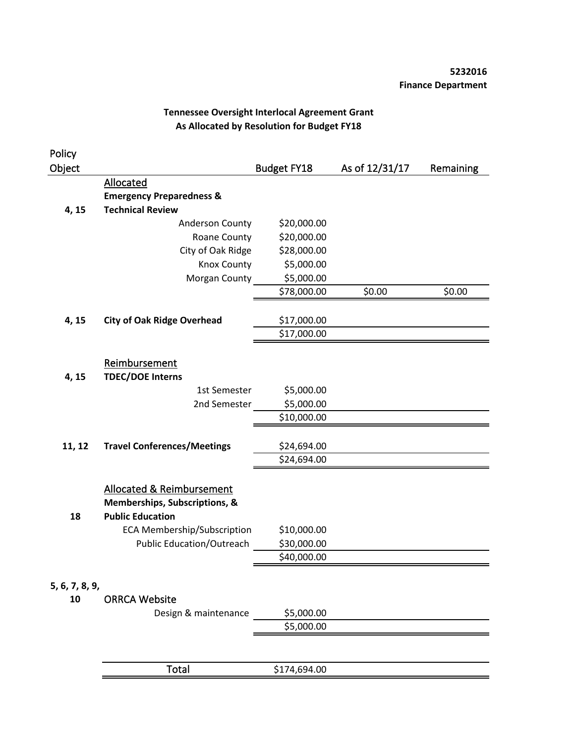| Policy         |                                                                                                  |                    |                |           |
|----------------|--------------------------------------------------------------------------------------------------|--------------------|----------------|-----------|
| Object         |                                                                                                  | <b>Budget FY18</b> | As of 12/31/17 | Remaining |
|                | Allocated                                                                                        |                    |                |           |
|                | <b>Emergency Preparedness &amp;</b>                                                              |                    |                |           |
| 4, 15          | <b>Technical Review</b>                                                                          |                    |                |           |
|                | Anderson County                                                                                  | \$20,000.00        |                |           |
|                | Roane County                                                                                     | \$20,000.00        |                |           |
|                | City of Oak Ridge                                                                                | \$28,000.00        |                |           |
|                | Knox County                                                                                      | \$5,000.00         |                |           |
|                | Morgan County                                                                                    | \$5,000.00         |                |           |
|                |                                                                                                  | \$78,000.00        | \$0.00         | \$0.00    |
| 4, 15          | <b>City of Oak Ridge Overhead</b>                                                                | \$17,000.00        |                |           |
|                |                                                                                                  | \$17,000.00        |                |           |
|                | Reimbursement<br><b>TDEC/DOE Interns</b>                                                         |                    |                |           |
| 4, 15          | 1st Semester                                                                                     | \$5,000.00         |                |           |
|                | 2nd Semester                                                                                     | \$5,000.00         |                |           |
|                |                                                                                                  | \$10,000.00        |                |           |
|                |                                                                                                  |                    |                |           |
| 11, 12         | <b>Travel Conferences/Meetings</b>                                                               | \$24,694.00        |                |           |
|                |                                                                                                  | \$24,694.00        |                |           |
| 18             | <b>Allocated &amp; Reimbursement</b><br>Memberships, Subscriptions, &<br><b>Public Education</b> |                    |                |           |
|                | <b>ECA Membership/Subscription</b>                                                               | \$10,000.00        |                |           |
|                | <b>Public Education/Outreach</b>                                                                 | \$30,000.00        |                |           |
|                |                                                                                                  | \$40,000.00        |                |           |
| 5, 6, 7, 8, 9, |                                                                                                  |                    |                |           |
| 10             | <b>ORRCA Website</b>                                                                             |                    |                |           |
|                | Design & maintenance                                                                             | \$5,000.00         |                |           |
|                |                                                                                                  | \$5,000.00         |                |           |
|                |                                                                                                  |                    |                |           |
|                | <b>Total</b>                                                                                     | \$174,694.00       |                |           |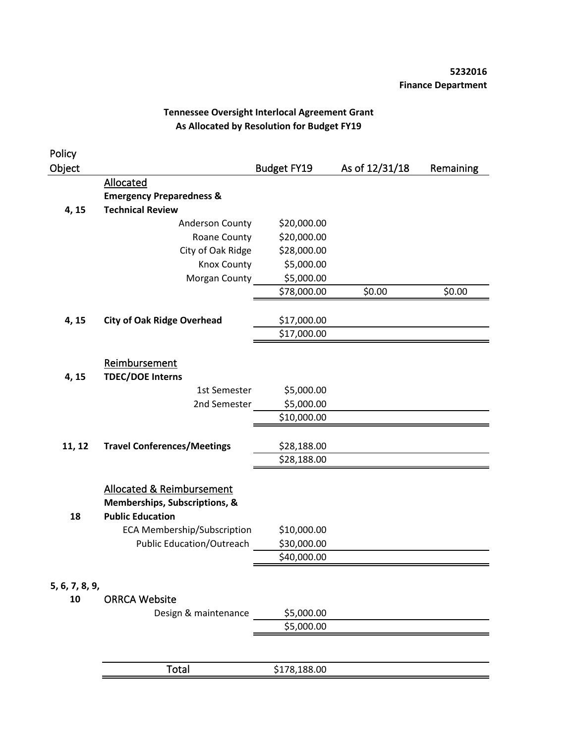| Policy         |                                                                                                  |                    |                |           |
|----------------|--------------------------------------------------------------------------------------------------|--------------------|----------------|-----------|
| Object         |                                                                                                  | <b>Budget FY19</b> | As of 12/31/18 | Remaining |
|                | Allocated                                                                                        |                    |                |           |
|                | <b>Emergency Preparedness &amp;</b>                                                              |                    |                |           |
| 4, 15          | <b>Technical Review</b>                                                                          |                    |                |           |
|                | Anderson County                                                                                  | \$20,000.00        |                |           |
|                | Roane County                                                                                     | \$20,000.00        |                |           |
|                | City of Oak Ridge                                                                                | \$28,000.00        |                |           |
|                | Knox County                                                                                      | \$5,000.00         |                |           |
|                | Morgan County                                                                                    | \$5,000.00         |                |           |
|                |                                                                                                  | \$78,000.00        | \$0.00         | \$0.00    |
| 4, 15          | <b>City of Oak Ridge Overhead</b>                                                                | \$17,000.00        |                |           |
|                |                                                                                                  | \$17,000.00        |                |           |
| 4, 15          | Reimbursement<br><b>TDEC/DOE Interns</b>                                                         |                    |                |           |
|                | 1st Semester                                                                                     | \$5,000.00         |                |           |
|                | 2nd Semester                                                                                     | \$5,000.00         |                |           |
|                |                                                                                                  | \$10,000.00        |                |           |
| 11, 12         | <b>Travel Conferences/Meetings</b>                                                               | \$28,188.00        |                |           |
|                |                                                                                                  | \$28,188.00        |                |           |
| 18             | <b>Allocated &amp; Reimbursement</b><br>Memberships, Subscriptions, &<br><b>Public Education</b> |                    |                |           |
|                | <b>ECA Membership/Subscription</b>                                                               | \$10,000.00        |                |           |
|                | <b>Public Education/Outreach</b>                                                                 | \$30,000.00        |                |           |
|                |                                                                                                  | \$40,000.00        |                |           |
| 5, 6, 7, 8, 9, |                                                                                                  |                    |                |           |
| 10             | <b>ORRCA Website</b>                                                                             |                    |                |           |
|                | Design & maintenance                                                                             | \$5,000.00         |                |           |
|                |                                                                                                  | \$5,000.00         |                |           |
|                |                                                                                                  |                    |                |           |
|                | <b>Total</b>                                                                                     | \$178,188.00       |                |           |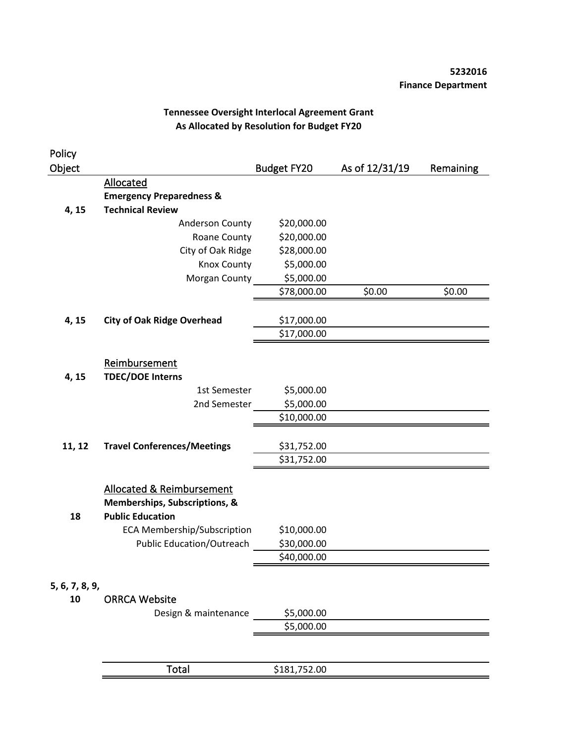| Policy         |                                                                                       |                    |                |           |
|----------------|---------------------------------------------------------------------------------------|--------------------|----------------|-----------|
| Object         |                                                                                       | <b>Budget FY20</b> | As of 12/31/19 | Remaining |
|                | Allocated                                                                             |                    |                |           |
|                | <b>Emergency Preparedness &amp;</b>                                                   |                    |                |           |
| 4, 15          | <b>Technical Review</b>                                                               |                    |                |           |
|                | Anderson County                                                                       | \$20,000.00        |                |           |
|                | Roane County                                                                          | \$20,000.00        |                |           |
|                | City of Oak Ridge                                                                     | \$28,000.00        |                |           |
|                | Knox County                                                                           | \$5,000.00         |                |           |
|                | Morgan County                                                                         | \$5,000.00         |                |           |
|                |                                                                                       | \$78,000.00        | \$0.00         | \$0.00    |
| 4, 15          | <b>City of Oak Ridge Overhead</b>                                                     | \$17,000.00        |                |           |
|                |                                                                                       | \$17,000.00        |                |           |
| 4, 15          | Reimbursement<br><b>TDEC/DOE Interns</b>                                              |                    |                |           |
|                | 1st Semester                                                                          | \$5,000.00         |                |           |
|                | 2nd Semester                                                                          | \$5,000.00         |                |           |
|                |                                                                                       | \$10,000.00        |                |           |
| 11, 12         | <b>Travel Conferences/Meetings</b>                                                    | \$31,752.00        |                |           |
|                |                                                                                       | \$31,752.00        |                |           |
| 18             | Allocated & Reimbursement<br>Memberships, Subscriptions, &<br><b>Public Education</b> |                    |                |           |
|                | <b>ECA Membership/Subscription</b>                                                    | \$10,000.00        |                |           |
|                | <b>Public Education/Outreach</b>                                                      | \$30,000.00        |                |           |
|                |                                                                                       | \$40,000.00        |                |           |
| 5, 6, 7, 8, 9, |                                                                                       |                    |                |           |
| 10             | <b>ORRCA Website</b>                                                                  |                    |                |           |
|                | Design & maintenance                                                                  | \$5,000.00         |                |           |
|                |                                                                                       | \$5,000.00         |                |           |
|                |                                                                                       |                    |                |           |
|                | <b>Total</b>                                                                          | \$181,752.00       |                |           |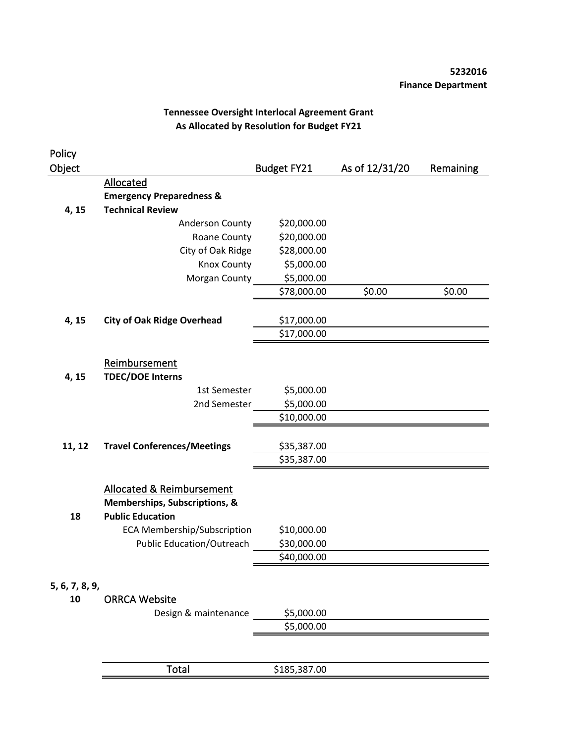| Policy         |                                                                                       |              |                |           |
|----------------|---------------------------------------------------------------------------------------|--------------|----------------|-----------|
| Object         |                                                                                       | Budget FY21  | As of 12/31/20 | Remaining |
|                | Allocated                                                                             |              |                |           |
|                | <b>Emergency Preparedness &amp;</b>                                                   |              |                |           |
| 4, 15          | <b>Technical Review</b>                                                               |              |                |           |
|                | Anderson County                                                                       | \$20,000.00  |                |           |
|                | Roane County                                                                          | \$20,000.00  |                |           |
|                | City of Oak Ridge                                                                     | \$28,000.00  |                |           |
|                | Knox County                                                                           | \$5,000.00   |                |           |
|                | Morgan County                                                                         | \$5,000.00   |                |           |
|                |                                                                                       | \$78,000.00  | \$0.00         | \$0.00    |
| 4, 15          | <b>City of Oak Ridge Overhead</b>                                                     | \$17,000.00  |                |           |
|                |                                                                                       | \$17,000.00  |                |           |
| 4, 15          | Reimbursement<br><b>TDEC/DOE Interns</b>                                              |              |                |           |
|                | 1st Semester                                                                          | \$5,000.00   |                |           |
|                | 2nd Semester                                                                          | \$5,000.00   |                |           |
|                |                                                                                       | \$10,000.00  |                |           |
| 11, 12         | <b>Travel Conferences/Meetings</b>                                                    | \$35,387.00  |                |           |
|                |                                                                                       | \$35,387.00  |                |           |
| 18             | Allocated & Reimbursement<br>Memberships, Subscriptions, &<br><b>Public Education</b> |              |                |           |
|                | <b>ECA Membership/Subscription</b>                                                    | \$10,000.00  |                |           |
|                | <b>Public Education/Outreach</b>                                                      | \$30,000.00  |                |           |
|                |                                                                                       | \$40,000.00  |                |           |
| 5, 6, 7, 8, 9, |                                                                                       |              |                |           |
| 10             | <b>ORRCA Website</b>                                                                  |              |                |           |
|                | Design & maintenance                                                                  | \$5,000.00   |                |           |
|                |                                                                                       | \$5,000.00   |                |           |
|                |                                                                                       |              |                |           |
|                | <b>Total</b>                                                                          | \$185,387.00 |                |           |